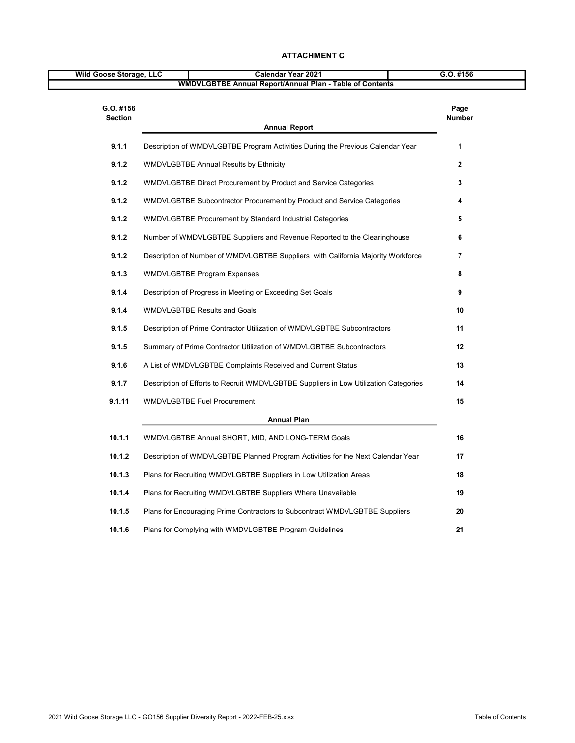| Wild Goose Storage, LLC     | <b>Calendar Year 2021</b>                                                            | $G.O.$ #156           |
|-----------------------------|--------------------------------------------------------------------------------------|-----------------------|
|                             | <b>WMDVLGBTBE Annual Report/Annual Plan - Table of Contents</b>                      |                       |
| G.O. #156<br><b>Section</b> |                                                                                      | Page<br><b>Number</b> |
|                             | <b>Annual Report</b>                                                                 |                       |
| 9.1.1                       | Description of WMDVLGBTBE Program Activities During the Previous Calendar Year       | 1                     |
| 9.1.2                       | <b>WMDVLGBTBE Annual Results by Ethnicity</b>                                        | $\overline{2}$        |
| 9.1.2                       | WMDVLGBTBE Direct Procurement by Product and Service Categories                      | 3                     |
| 9.1.2                       | WMDVLGBTBE Subcontractor Procurement by Product and Service Categories               | 4                     |
| 9.1.2                       | WMDVLGBTBE Procurement by Standard Industrial Categories                             | 5                     |
| 9.1.2                       | Number of WMDVLGBTBE Suppliers and Revenue Reported to the Clearinghouse             | 6                     |
| 9.1.2                       | Description of Number of WMDVLGBTBE Suppliers with California Majority Workforce     | 7                     |
| 9.1.3                       | <b>WMDVLGBTBE Program Expenses</b>                                                   | 8                     |
| 9.1.4                       | Description of Progress in Meeting or Exceeding Set Goals                            | 9                     |
| 9.1.4                       | <b>WMDVLGBTBE Results and Goals</b>                                                  | 10                    |
| 9.1.5                       | Description of Prime Contractor Utilization of WMDVLGBTBE Subcontractors             | 11                    |
| 9.1.5                       | Summary of Prime Contractor Utilization of WMDVLGBTBE Subcontractors                 | $12 \,$               |
| 9.1.6                       | A List of WMDVLGBTBE Complaints Received and Current Status                          | 13                    |
| 9.1.7                       | Description of Efforts to Recruit WMDVLGBTBE Suppliers in Low Utilization Categories | 14                    |
| 9.1.11                      | <b>WMDVLGBTBE Fuel Procurement</b>                                                   | 15                    |
|                             | <b>Annual Plan</b>                                                                   |                       |
| 10.1.1                      | WMDVLGBTBE Annual SHORT, MID, AND LONG-TERM Goals                                    | 16                    |
| 10.1.2                      | Description of WMDVLGBTBE Planned Program Activities for the Next Calendar Year      | 17                    |
| 10.1.3                      | Plans for Recruiting WMDVLGBTBE Suppliers in Low Utilization Areas                   | 18                    |
| 10.1.4                      | Plans for Recruiting WMDVLGBTBE Suppliers Where Unavailable                          | 19                    |
| 10.1.5                      | Plans for Encouraging Prime Contractors to Subcontract WMDVLGBTBE Suppliers          | 20                    |
| 10.1.6                      | Plans for Complying with WMDVLGBTBE Program Guidelines                               | 21                    |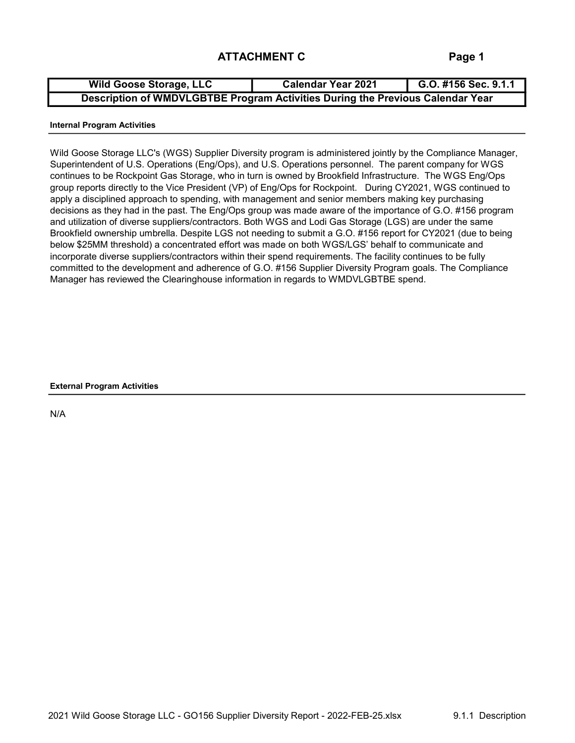| <b>Wild Goose Storage, LLC</b>                                                 | <b>Calendar Year 2021</b> | G.O. #156 Sec. 9.1.1 |
|--------------------------------------------------------------------------------|---------------------------|----------------------|
| Description of WMDVLGBTBE Program Activities During the Previous Calendar Year |                           |                      |

#### Internal Program Activities

Wild Goose Storage LLC's (WGS) Supplier Diversity program is administered jointly by the Compliance Manager, Superintendent of U.S. Operations (Eng/Ops), and U.S. Operations personnel. The parent company for WGS continues to be Rockpoint Gas Storage, who in turn is owned by Brookfield Infrastructure. The WGS Eng/Ops group reports directly to the Vice President (VP) of Eng/Ops for Rockpoint. During CY2021, WGS continued to apply a disciplined approach to spending, with management and senior members making key purchasing decisions as they had in the past. The Eng/Ops group was made aware of the importance of G.O. #156 program and utilization of diverse suppliers/contractors. Both WGS and Lodi Gas Storage (LGS) are under the same Brookfield ownership umbrella. Despite LGS not needing to submit a G.O. #156 report for CY2021 (due to being below \$25MM threshold) a concentrated effort was made on both WGS/LGS' behalf to communicate and incorporate diverse suppliers/contractors within their spend requirements. The facility continues to be fully committed to the development and adherence of G.O. #156 Supplier Diversity Program goals. The Compliance Manager has reviewed the Clearinghouse information in regards to WMDVLGBTBE spend.

#### External Program Activities

N/A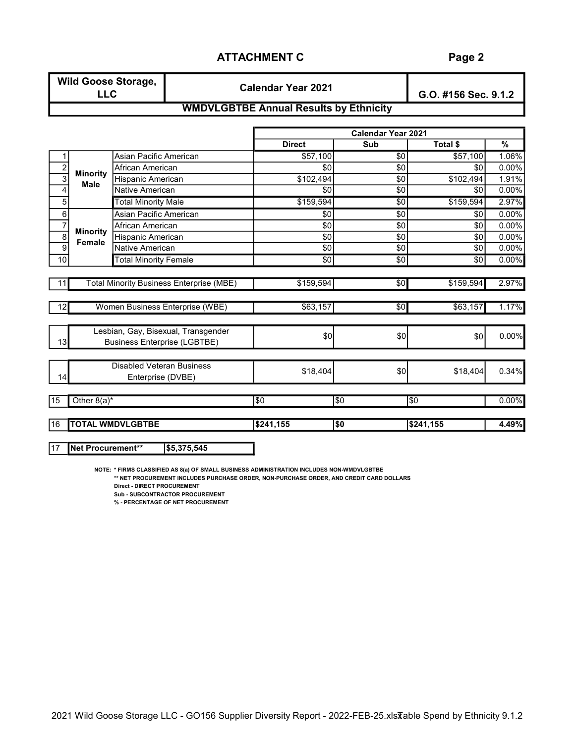| <b>Wild Goose Storage,</b> | <b>Calendar Year 2021</b> | G.O. #156 Sec. 9.1.2 |
|----------------------------|---------------------------|----------------------|
|                            |                           |                      |

## WMDVLGBTBE Annual Results by Ethnicity

|                |                           |                                                 |                 | <b>Calendar Year 2021</b> |                 |          |
|----------------|---------------------------|-------------------------------------------------|-----------------|---------------------------|-----------------|----------|
|                |                           |                                                 | <b>Direct</b>   | Sub                       | <b>Total \$</b> | %        |
| 1              |                           | Asian Pacific American                          | \$57,100        | \$0                       | \$57,100        | 1.06%    |
| $\overline{c}$ | <b>Minority</b>           | African American                                | \$0             | \$0                       | \$0             | 0.00%    |
| 3              | <b>Male</b>               | Hispanic American                               | \$102,494       | \$0                       | \$102,494       | 1.91%    |
| 4              |                           | Native American                                 | \$0             | \$0                       | \$0             | 0.00%    |
| 5              |                           | <b>Total Minority Male</b>                      | \$159,594       | \$0                       | \$159,594       | 2.97%    |
| 6              |                           | Asian Pacific American                          | \$0             | \$0                       | \$0             | $0.00\%$ |
| $\overline{7}$ |                           | African American                                | \$0             | \$0                       | \$0             | 0.00%    |
| 8              | <b>Minority</b>           | Hispanic American                               | \$0             | \$0                       | \$0             | 0.00%    |
| 9              | Female<br>Native American |                                                 | \$0             | \$0                       | \$0             | 0.00%    |
| 10             |                           | <b>Total Minority Female</b>                    | \$0             | $\overline{50}$           | \$0             | 0.00%    |
|                |                           |                                                 |                 |                           |                 |          |
|                |                           | <b>Total Minority Business Enterprise (MBE)</b> | \$159,594       | \$0                       | \$159,594       | 2.97%    |
|                |                           |                                                 |                 |                           |                 |          |
| 12             |                           | Women Business Enterprise (WBE)                 | \$63,157        | \$0                       | \$63,157        | 1.17%    |
|                |                           | Lesbian, Gay, Bisexual, Transgender             |                 |                           |                 |          |
| 13             |                           | <b>Business Enterprise (LGBTBE)</b>             | \$0             | \$0                       | \$0             | 0.00%    |
|                |                           |                                                 |                 |                           |                 |          |
|                |                           | Disabled Veteran Business                       | \$18,404        | \$0                       | \$18,404        | 0.34%    |
| 14             |                           | Enterprise (DVBE)                               |                 |                           |                 |          |
| 15             | Other $8(a)^*$            |                                                 | $\overline{50}$ | $\overline{\$0}$          | <b>SO</b>       | $0.00\%$ |
|                |                           |                                                 |                 |                           |                 |          |
| 16             |                           | <b>TOTAL WMDVLGBTBE</b>                         | \$241,155       | $\overline{\$0}$          | \$241,155       | 4.49%    |

17 Net Procurement\*\* \$5,375,545

NOTE: \* FIRMS CLASSIFIED AS 8(a) OF SMALL BUSINESS ADMINISTRATION INCLUDES NON-WMDVLGBTBE

\*\* NET PROCUREMENT INCLUDES PURCHASE ORDER, NON-PURCHASE ORDER, AND CREDIT CARD DOLLARS Direct - DIRECT PROCUREMENT

Sub - SUBCONTRACTOR PROCUREMENT

% - PERCENTAGE OF NET PROCUREMENT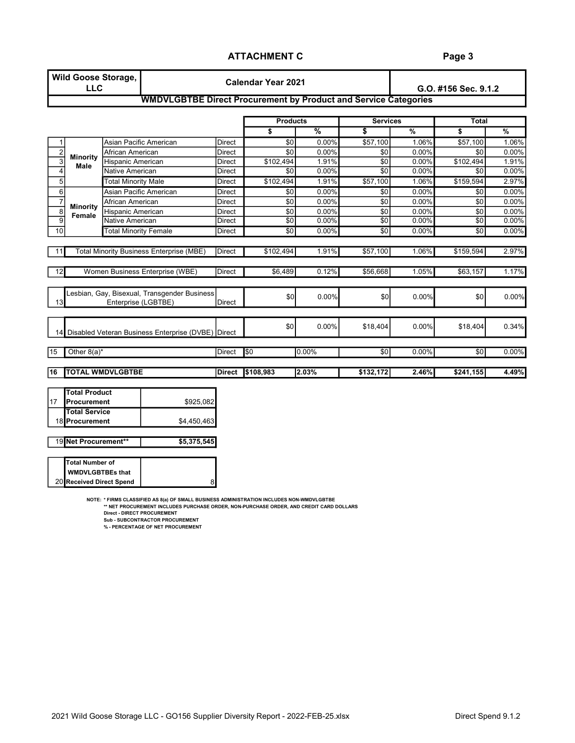## Page 3

|                  | <b>LLC</b>                | <b>Wild Goose Storage,</b>   |                                                                        |               | <b>Calendar Year 2021</b> |               | G.O. #156 Sec. 9.1.2 |                          |                 |               |
|------------------|---------------------------|------------------------------|------------------------------------------------------------------------|---------------|---------------------------|---------------|----------------------|--------------------------|-----------------|---------------|
|                  |                           |                              | <b>WMDVLGBTBE Direct Procurement by Product and Service Categories</b> |               |                           |               |                      |                          |                 |               |
|                  |                           |                              |                                                                        |               | <b>Products</b>           |               | <b>Services</b>      |                          | <b>Total</b>    |               |
|                  |                           |                              |                                                                        |               | \$                        | $\frac{9}{6}$ | \$                   | $\overline{\frac{9}{6}}$ | \$              | $\frac{9}{6}$ |
| 1                |                           |                              | Asian Pacific American                                                 | Direct        | \$0                       | 0.00%         | \$57,100             | 1.06%                    | \$57,100        | 1.06%         |
| $\boldsymbol{2}$ | <b>Minority</b>           | African American             |                                                                        | Direct        | \$0                       | 0.00%         | \$0                  | 0.00%                    | \$0             | 0.00%         |
| 3                | Male                      | <b>Hispanic American</b>     |                                                                        | Direct        | \$102,494                 | 1.91%         | \$0                  | 0.00%                    | \$102,494       | 1.91%         |
| $\overline{4}$   |                           | Native American              |                                                                        | <b>Direct</b> | \$0                       | 0.00%         | \$0                  | 0.00%                    | \$0             | 0.00%         |
| 5 <sup>1</sup>   |                           | <b>Total Minority Male</b>   |                                                                        | Direct        | \$102,494                 | 1.91%         | \$57,100             | 1.06%                    | \$159,594       | 2.97%         |
| $6\phantom{a}$   |                           |                              | Asian Pacific American                                                 | Direct        | \$0                       | 0.00%         | \$0                  | 0.00%                    | \$0             | 0.00%         |
| $\overline{7}$   |                           | African American             |                                                                        | <b>Direct</b> | \$0                       | 0.00%         | \$0                  | 0.00%                    | \$0             | 0.00%         |
| 8                | <b>Minority</b><br>Female | <b>Hispanic American</b>     |                                                                        | Direct        | \$0                       | 0.00%         | \$0                  | 0.00%                    | \$0             | 0.00%         |
| $\overline{9}$   |                           | <b>Native American</b>       |                                                                        | Direct        | \$0                       | 0.00%         | \$0                  | 0.00%                    | \$0             | 0.00%         |
| 10 <sup>1</sup>  |                           | <b>Total Minority Female</b> |                                                                        | Direct        | $\overline{30}$           | 0.00%         | \$0                  | 0.00%                    | \$0             | 0.00%         |
|                  |                           |                              |                                                                        |               |                           |               |                      |                          |                 |               |
| 11               |                           |                              | <b>Total Minority Business Enterprise (MBE)</b>                        | Direct        | \$102,494                 | 1.91%         | \$57,100             | 1.06%                    | \$159,594       | 2.97%         |
|                  |                           |                              |                                                                        |               |                           |               |                      |                          |                 |               |
| 12               |                           |                              | Women Business Enterprise (WBE)                                        | Direct        | \$6,489                   | 0.12%         | \$56,668             | 1.05%                    | \$63,157        | 1.17%         |
|                  |                           |                              |                                                                        |               |                           |               |                      |                          |                 |               |
|                  |                           |                              | Lesbian, Gay, Bisexual, Transgender Business                           |               |                           |               |                      |                          |                 |               |
| 13               |                           | Enterprise (LGBTBE)          |                                                                        | Direct        | \$0                       | 0.00%         | \$0                  | 0.00%                    | \$0             | 0.00%         |
|                  |                           |                              |                                                                        |               |                           |               |                      |                          |                 |               |
|                  |                           |                              |                                                                        |               |                           |               |                      |                          |                 |               |
| 14 <sup>1</sup>  |                           |                              | Disabled Veteran Business Enterprise (DVBE) Direct                     |               | \$0                       | 0.00%         | \$18,404             | 0.00%                    | \$18,404        | 0.34%         |
|                  |                           |                              |                                                                        |               |                           |               |                      |                          |                 |               |
| 15               | Other $8(a)^*$            |                              |                                                                        | Direct        | 50                        | 0.00%         | $\overline{30}$      | 0.00%                    | $\overline{30}$ | 0.00%         |
|                  |                           |                              |                                                                        |               |                           |               |                      |                          |                 |               |
| 16               |                           | <b>TOTAL WMDVLGBTBE</b>      |                                                                        | <b>Direct</b> | \$108,983                 | 2.03%         | \$132,172            | 2.46%                    | \$241,155       | 4.49%         |
|                  |                           |                              |                                                                        |               |                           |               |                      |                          |                 |               |
|                  | <b>Total Product</b>      |                              |                                                                        |               |                           |               |                      |                          |                 |               |
| 17               | <b>IProcurement</b>       |                              | \$925,082                                                              |               |                           |               |                      |                          |                 |               |
|                  | <b>Total Service</b>      |                              |                                                                        |               |                           |               |                      |                          |                 |               |
|                  | 18 Procurement            |                              | \$4,450,463                                                            |               |                           |               |                      |                          |                 |               |

| 19 Net Procurement** | \$5.375.545 |
|----------------------|-------------|
|                      |             |
|                      |             |

| <b>Total Number of</b>   |  |
|--------------------------|--|
| <b>NWDVLGBTBEs that</b>  |  |
| 20 Received Direct Spend |  |

NOTE: \* FIRMS CLASSIFIED AS 8(a) OF SMALL BUSINESS ADMINISTRATION INCLUDES NON-WMDVLGBTBE

8

\*\* NET PROCUREMENT INCLUDES PURCHASE ORDER, NON-PURCHASE ORDER, AND CREDIT CARD DOLLARS Direct - DIRECT PROCUREMENT

Sub - SUBCONTRACTOR PROCUREMENT

% - PERCENTAGE OF NET PROCUREMENT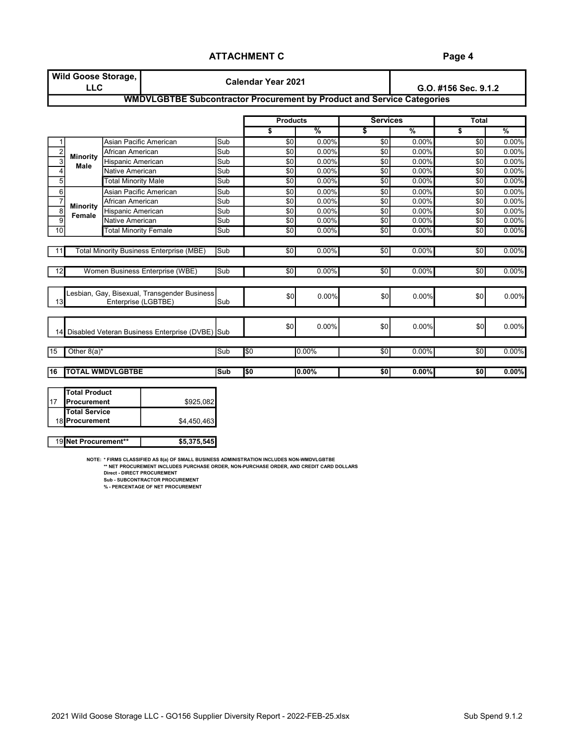|                  | <b>Wild Goose Storage,</b><br><b>LLC</b>                                      |                              |                                                                        |     | <b>Calendar Year 2021</b> |           | G.O. #156 Sec. 9.1.2    |          |                 |               |  |
|------------------|-------------------------------------------------------------------------------|------------------------------|------------------------------------------------------------------------|-----|---------------------------|-----------|-------------------------|----------|-----------------|---------------|--|
|                  |                                                                               |                              | WMDVLGBTBE Subcontractor Procurement by Product and Service Categories |     |                           |           |                         |          |                 |               |  |
|                  |                                                                               |                              |                                                                        |     | <b>Products</b>           |           | <b>Services</b>         |          | <b>Total</b>    |               |  |
|                  |                                                                               |                              |                                                                        |     | \$                        | $\%$      | $\overline{\mathbf{s}}$ | %        | \$              | $\frac{9}{6}$ |  |
| 1                |                                                                               | Asian Pacific American       |                                                                        | Sub | \$0                       | 0.00%     | \$0                     | 0.00%    | \$0             | 0.00%         |  |
| $\mathbf 2$      | <b>Minority</b>                                                               | African American             |                                                                        | Sub | \$0                       | 0.00%     | \$0                     | 0.00%    | \$0             | 0.00%         |  |
| $\overline{3}$   | Male                                                                          | <b>Hispanic American</b>     |                                                                        | Sub | \$0                       | 0.00%     | \$0                     | 0.00%    | \$0             | 0.00%         |  |
| $\overline{4}$   |                                                                               | <b>Native American</b>       |                                                                        | Sub | \$0                       | 0.00%     | \$0                     | 0.00%    | \$0             | 0.00%         |  |
| 5 <sup>1</sup>   |                                                                               | <b>Total Minority Male</b>   |                                                                        | Sub | \$0                       | 0.00%     | \$0                     | 0.00%    | \$0             | 0.00%         |  |
| $6 \overline{6}$ |                                                                               | Asian Pacific American       |                                                                        | Sub | \$0                       | 0.00%     | \$0                     | 0.00%    | \$0             | 0.00%         |  |
| $\overline{7}$   |                                                                               | African American             |                                                                        | Sub | \$0                       | 0.00%     | \$0                     | 0.00%    | \$0             | 0.00%         |  |
| 8                | <b>Minority</b><br>Female                                                     | <b>Hispanic American</b>     |                                                                        | Sub | \$0                       | 0.00%     | \$0                     | 0.00%    | \$0             | 0.00%         |  |
| $\overline{9}$   |                                                                               | <b>Native American</b>       |                                                                        | Sub | $\overline{50}$           | 0.00%     | $\overline{30}$         | 0.00%    | $\overline{30}$ | 0.00%         |  |
| 10               |                                                                               | <b>Total Minority Female</b> |                                                                        | Sub | $\overline{50}$           | 0.00%     | $\overline{50}$         | 0.00%    | $\overline{30}$ | 0.00%         |  |
|                  |                                                                               |                              |                                                                        |     |                           |           |                         |          |                 |               |  |
| 11               |                                                                               |                              | <b>Total Minority Business Enterprise (MBE)</b>                        | Sub | $\overline{50}$           | 0.00%     | $\overline{30}$         | 0.00%    | $\overline{30}$ | 0.00%         |  |
| 12               |                                                                               |                              | Women Business Enterprise (WBE)                                        | Sub | $\overline{50}$           | 0.00%     | $\overline{30}$         | 0.00%    | $\overline{30}$ | 0.00%         |  |
|                  |                                                                               |                              |                                                                        |     |                           |           |                         |          |                 |               |  |
| 13               |                                                                               | Enterprise (LGBTBE)          | Lesbian, Gay, Bisexual, Transgender Business                           | Sub | \$0                       | 0.00%     | \$0                     | 0.00%    | \$0             | 0.00%         |  |
|                  | Disabled Veteran Business Enterprise (DVBE) Sub<br>14                         |                              |                                                                        |     | \$0                       | 0.00%     | \$0                     | 0.00%    | \$0             | 0.00%         |  |
| 15               | Other $8(a)^*$                                                                |                              |                                                                        | Sub | $\overline{30}$           | 0.00%     | $\overline{30}$         | $0.00\%$ | $\overline{50}$ | 0.00%         |  |
| 16               |                                                                               | <b>TOTAL WMDVLGBTBE</b>      |                                                                        | Sub | 50                        | $ 0.00\%$ | \$0                     | 0.00%    | \$0             | 0.00%         |  |
| 117              | <b>Total Product</b><br>Procurement<br><b>Total Service</b><br>18 Procurement |                              | \$925,082<br>\$4,450,463                                               |     |                           |           |                         |          |                 |               |  |

NOTE: \* FIRMS CLASSIFIED AS 8(a) OF SMALL BUSINESS ADMINISTRATION INCLUDES NON-WMDVLGBTBE<br>\*\* NET PROCUREMENT INCLUDES PURCHASE ORDER, NON-PURCHASE ORDER, AND CREDIT CARD DOLLARS<br>Direct - DIRECT PROCUREMENT

Sub - SUBCONTRACTOR PROCUREMENT

% - PERCENTAGE OF NET PROCUREMENT

19 Net Procurement\*\* | \$5,375,545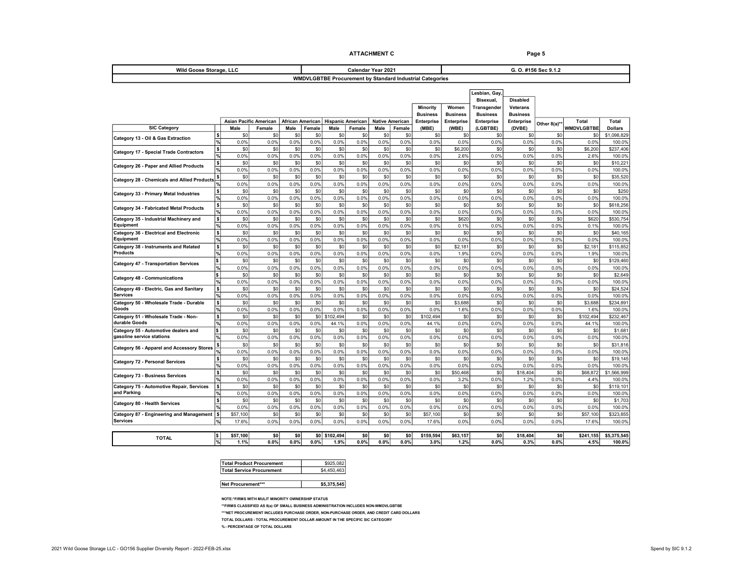#### ATTACHMENT C<br>
Page 5

| Wild Goose Storage, LLC                            | Calendar Year 2021             |                                       |             |                                 |             | G. O. #156 Sec 9.1.2     |               |                        |                 |                                                          |                   |                 |                 |              |                            |                         |
|----------------------------------------------------|--------------------------------|---------------------------------------|-------------|---------------------------------|-------------|--------------------------|---------------|------------------------|-----------------|----------------------------------------------------------|-------------------|-----------------|-----------------|--------------|----------------------------|-------------------------|
|                                                    |                                |                                       |             |                                 |             |                          |               |                        |                 | WMDVLGBTBE Procurement by Standard Industrial Categories |                   |                 |                 |              |                            |                         |
|                                                    |                                |                                       |             |                                 |             |                          |               |                        |                 |                                                          |                   |                 |                 |              |                            |                         |
|                                                    |                                |                                       |             |                                 |             |                          |               |                        |                 |                                                          |                   | Lesbian, Gay    |                 |              |                            |                         |
|                                                    |                                |                                       |             |                                 |             |                          |               |                        |                 |                                                          |                   | Bisexual,       | <b>Disabled</b> |              |                            |                         |
|                                                    |                                |                                       |             |                                 |             |                          |               |                        |                 | Minority                                                 | Women             | Transgender     | Veterans        |              |                            |                         |
|                                                    |                                |                                       |             |                                 |             |                          |               |                        | <b>Business</b> | <b>Business</b>                                          | <b>Business</b>   | <b>Business</b> |                 |              |                            |                         |
| <b>SIC Category</b>                                |                                | <b>Asian Pacific American</b><br>Male | Female      | <b>African American</b><br>Male | Female      | <b>Hispanic American</b> |               | <b>Native American</b> | Female          | Enterprise                                               | <b>Enterprise</b> | Enterprise      | Enterprise      | Other 8(a)** | Total<br><b>WMDVLGBTBE</b> | Total<br><b>Dollars</b> |
|                                                    | \$                             | \$0                                   | \$0         | \$0                             | \$0         | Male<br>\$0              | Female<br>\$0 | Male<br>\$0            | \$0             | (MBE)<br>\$0                                             | (WBE)<br>\$0      | (LGBTBE)<br>\$0 | (DVBE)<br>\$0   | \$0          | \$0                        | \$1,098,829             |
| Category 13 - Oil & Gas Extraction                 | %                              | 0.0%                                  | 0.0%        | 0.0%                            | 0.0%        | 0.0%                     | 0.0%          | 0.0%                   | 0.0%            | 0.0%                                                     | 0.0%              | 0.0%            | 0.0%            | 0.0%         | 0.0%                       | 100.0%                  |
| <b>Category 17 - Special Trade Contractors</b>     | $\boldsymbol{\mathsf{s}}$      | \$0                                   | \$0         | \$0                             | \$0         | \$0                      | \$0           | \$0                    | \$0             | \$0                                                      | \$6,200           | \$0             | \$0             | \$0          | \$6,200                    | \$237,406               |
|                                                    | $\sqrt{2}$                     | 0.0%                                  | 0.0%        | 0.0%                            | 0.0%        | 0.0%                     | 0.0%          | 0.0%                   | 0.0%            | 0.0%                                                     | 2.6%              | 0.0%            | 0.0%            | 0.0%         | 2.6%                       | 100.0%                  |
| Category 26 - Paper and Allied Products            | $\overline{\bullet}$           | \$0                                   | \$0         | \$0                             | \$0         | \$0                      | \$0           | \$0                    | \$0             | \$0                                                      | \$0               | \$0             | \$0             | \$0          | \$0                        | \$10,221                |
|                                                    | $\frac{9}{6}$                  | 0.0%                                  | 0.0%        | 0.0%                            | 0.0%        | 0.0%                     | 0.0%          | 0.0%                   | 0.0%            | 0.0%                                                     | 0.0%              | 0.0%            | 0.0%            | 0.0%         | 0.0%                       | 100.0%                  |
| <b>Category 28 - Chemicals and Allied Products</b> | \$                             | \$0                                   | \$0         | \$0                             | \$0         | \$0                      | \$0           | \$0                    | \$0             | \$0                                                      | \$0               | \$0             | \$0             | \$0          | \$C                        | \$35,520                |
|                                                    | $\frac{9}{6}$                  | 0.0%                                  | 0.0%        | 0.0%                            | 0.0%        | 0.0%                     | 0.0%          | 0.0%                   | 0.0%            | 0.0%                                                     | 0.0%              | 0.0%            | 0.0%            | 0.0%         | 0.0%                       | 100.0%                  |
| Category 33 - Primary Metal Industries             | \$                             | \$0                                   | \$0         | \$0                             | \$0         | \$0                      | \$0           | \$0                    | \$0             | \$0                                                      | \$0               | \$0             | \$0             | \$0          | \$0                        | \$250                   |
|                                                    | %<br>$\boldsymbol{\mathsf{s}}$ | 0.0%                                  | 0.0%<br>\$0 | 0.0%                            | 0.0%        | 0.0%                     | 0.0%          | 0.0%<br>\$0            | 0.0%            | 0.0%                                                     | 0.0%              | 0.0%<br>\$0     | 0.0%            | 0.0%         | 0.0%                       | 100.0%                  |
| <b>Category 34 - Fabricated Metal Products</b>     | $\frac{9}{6}$                  | \$0<br>0.0%                           | 0.0%        | \$0<br>0.0%                     | \$0<br>0.0% | \$0<br>0.0%              | \$0<br>0.0%   | 0.0%                   | \$0<br>0.0%     | \$0<br>0.0%                                              | \$0<br>0.0%       | 0.0%            | \$0<br>0.0%     | \$0<br>0.0%  | \$0<br>0.0%                | \$618,256<br>100.0%     |
| Category 35 - Industrial Machinery and             | \$                             | \$0                                   | \$0         | \$0                             | \$0         | \$0                      | \$0           | \$0                    | \$0             | \$0                                                      | \$620             | \$0             | \$0             | \$0          | \$620                      | \$530,754               |
| Equipment                                          | $\frac{9}{6}$                  | 0.0%                                  | 0.0%        | 0.0%                            | 0.0%        | 0.0%                     | 0.0%          | 0.0%                   | 0.0%            | 0.0%                                                     | 0.1%              | 0.0%            | 0.0%            | 0.0%         | 0.1%                       | 100.0%                  |
| Category 36 - Electrical and Electronic            | $\boldsymbol{\mathsf{s}}$      | \$0                                   | \$0         | \$0                             | \$0         | \$0                      | \$0           | \$0                    | \$0             | \$0                                                      | \$0               | \$0             | \$0             | \$0          | \$0                        | \$40,165                |
| Equipment                                          | $\frac{9}{6}$                  | 0.0%                                  | 0.0%        | 0.0%                            | 0.0%        | 0.0%                     | 0.0%          | 0.0%                   | 0.0%            | 0.0%                                                     | 0.0%              | 0.0%            | 0.0%            | 0.0%         | 0.0%                       | 100.0%                  |
| Category 38 - Instruments and Related              | $\overline{\bullet}$           | \$0                                   | \$0         | \$0                             | \$0         | \$0                      | \$0           | \$0                    | \$0             | \$0                                                      | \$2,181           | \$0             | \$0             | \$0          | \$2,181                    | \$115,852               |
| Products                                           | 网                              | 0.0%                                  | 0.0%        | 0.0%                            | 0.0%        | 0.0%                     | 0.0%          | 0.0%                   | 0.0%            | 0.0%                                                     | 1.9%              | 0.0%            | 0.0%            | 0.0%         | 1.9%                       | 100.0%                  |
| <b>Category 47 - Transportation Services</b>       | \$                             | \$0                                   | \$0         | \$0                             | \$0         | \$0                      | \$0           | \$0                    | \$0             | \$0                                                      | \$0               | \$0             | \$0             | \$0          | \$0                        | \$129,460               |
|                                                    | $\frac{9}{6}$                  | 0.0%                                  | 0.0%        | 0.0%                            | 0.0%        | 0.0%                     | 0.0%          | 0.0%                   | 0.0%            | 0.0%                                                     | 0.0%              | 0.0%            | 0.0%            | 0.0%         | 0.0%                       | 100.0%                  |
| <b>Category 48 - Communications</b>                | \$                             | \$0                                   | \$0         | \$0                             | \$0         | \$0                      | \$0           | \$0                    | \$0             | \$0                                                      | \$0               | \$0             | \$0             | \$0          | \$0                        | \$2,649                 |
|                                                    | $\frac{9}{6}$                  | 0.0%                                  | 0.0%        | 0.0%                            | 0.0%        | 0.0%                     | 0.0%          | 0.0%                   | 0.0%            | 0.0%                                                     | 0.0%              | 0.0%            | 0.0%            | 0.0%         | 0.0%                       | 100.0%                  |
| Category 49 - Electric, Gas and Sanitary           | \$İ                            | \$0                                   | \$0         | \$0                             | \$0         | \$0                      | \$0           | \$0                    | \$0             | \$0                                                      | \$0               | \$0             | \$0             | \$0          | \$0                        | \$24,524                |
| Services                                           | $\frac{9}{6}$                  | 0.0%                                  | 0.0%        | 0.0%                            | 0.0%        | 0.0%                     | 0.0%          | 0.0%                   | 0.0%            | 0.0%                                                     | 0.0%              | 0.0%            | 0.0%            | 0.0%         | 0.0%                       | 100.0%                  |
| Category 50 - Wholesale Trade - Durable<br>Goods   | $\overline{\mathbf{s}}$<br>%   | \$0                                   | \$0<br>0.0% | \$0<br>0.0%                     | \$0<br>0.0% | \$0<br>0.0%              | \$0<br>0.0%   | \$0<br>0.0%            | \$0<br>0.0%     | \$0<br>0.0%                                              | \$3,688           | \$0<br>0.0%     | \$0<br>0.0%     | \$0<br>0.0%  | \$3,688<br>1.6%            | \$234.891               |
| Category 51 - Wholesale Trade - Non-               | $\boldsymbol{s}$               | 0.0%<br>\$0                           | \$0         | \$0                             | \$0         | \$102.494                | \$0           | \$0                    | \$0             | \$102.494                                                | 1.6%<br>\$0       | \$0             | \$0             | \$0          | \$102.494                  | 100.0%<br>\$232.467     |
| durable Goods                                      | %                              | 0.0%                                  | 0.0%        | 0.0%                            | 0.0%        | 44.1%                    | 0.0%          | 0.0%                   | 0.0%            | 44.1%                                                    | 0.0%              | 0.0%            | 0.0%            | 0.0%         | 44.1%                      | 100.0%                  |
| Category 55 - Automotive dealers and               | \$                             | \$0                                   | \$0         | \$0                             | \$0         | \$0                      | \$0           | \$0                    | \$0             | \$0                                                      | \$0               | \$0             | \$0             | \$0          | \$C                        | \$1,681                 |
| gasoline service stations                          | $\frac{9}{6}$                  | 0.0%                                  | 0.0%        | 0.0%                            | 0.0%        | 0.0%                     | 0.0%          | 0.0%                   | 0.0%            | 0.0%                                                     | 0.0%              | 0.0%            | 0.0%            | 0.0%         | 0.0%                       | 100.0%                  |
|                                                    | \$                             | \$0                                   | \$0         | \$0                             | \$0         | \$0                      | \$0           | \$0                    | \$0             | \$0                                                      | \$0               | \$0             | \$0             | \$0          | \$0                        | \$31,816                |
| Category 56 - Apparel and Accessory Stores         |                                | 0.0%                                  | 0.0%        | 0.0%                            | 0.0%        | 0.0%                     | 0.0%          | 0.0%                   | 0.0%            | 0.0%                                                     | 0.0%              | 0.0%            | 0.0%            | 0.0%         | 0.0%                       | 100.0%                  |
| <b>Category 72 - Personal Services</b>             | \$                             | \$0                                   | \$0         | \$0                             | \$0         | \$0                      | \$0           | \$0                    | \$0             | \$0                                                      | \$0               | \$0             | \$0             | \$0          | \$C                        | \$19,145                |
|                                                    | %                              | 0.0%                                  | 0.0%        | 0.0%                            | 0.0%        | 0.0%                     | 0.0%          | 0.0%                   | 0.0%            | 0.0%                                                     | 0.0%              | 0.0%            | 0.0%            | 0.0%         | 0.0%                       | 100.0%                  |
| Category 73 - Business Services                    | $\boldsymbol{s}$               | \$0                                   | \$0         | \$0                             | \$0         | \$0                      | \$0           | \$0                    | \$0             | \$0                                                      | \$50,468          | \$0             | \$18,404        | \$0          | \$68,872                   | \$1,566,999             |
|                                                    | $\frac{9}{6}$                  | 0.0%                                  | 0.0%        | 0.0%                            | 0.0%        | 0.0%                     | 0.0%          | 0.0%                   | 0.0%            | 0.0%                                                     | 3.2%              | 0.0%            | 1.2%            | 0.0%         | 4.4%                       | 100.0%                  |
| Category 75 - Automotive Repair, Services          | $\boldsymbol{s}$               | \$0                                   | \$0         | \$0                             | \$0         | \$0                      | \$0           | \$0                    | \$0             | \$0                                                      | \$0               | \$0             | \$0             | \$0          | \$0                        | \$119,101               |
| and Parking                                        | %                              | 0.0%                                  | 0.0%        | 0.0%                            | 0.0%        | 0.0%                     | 0.0%          | 0.0%                   | 0.0%            | 0.0%                                                     | 0.0%              | 0.0%            | 0.0%            | 0.0%         | 0.0%                       | 100.0%                  |
| Category 80 - Health Services                      | \$                             | \$0<br>0.0%                           | \$0<br>0.0% | \$0<br>0.0%                     | \$0<br>0.0% | \$0<br>0.0%              | \$0<br>0.0%   | \$0<br>0.0%            | \$0<br>0.0%     | \$0<br>0.0%                                              | \$0<br>0.0%       | \$0<br>0.0%     | \$0<br>0.0%     | \$0<br>0.0%  | \$C<br>0.0%                | \$1,703                 |
| Category 87 - Engineering and Management           | l\$                            | \$57,100                              | \$0         | \$0                             | \$0         | \$0                      | \$0           | \$0                    | \$0             | \$57,100                                                 | \$0               | \$0             | \$0             | \$0          | \$57,100                   | 100.0%<br>\$323,855     |
| <b>Services</b>                                    | %                              | 17.6%                                 | 0.0%        | 0.0%                            | 0.0%        | 0.0%                     | 0.0%          | 0.0%                   | 0.0%            | 17.6%                                                    | 0.0%              | 0.0%            | 0.0%            | 0.0%         | 17.6%                      | 100.0%                  |
|                                                    |                                |                                       |             |                                 |             |                          |               |                        |                 |                                                          |                   |                 |                 |              |                            |                         |
|                                                    | \$                             | \$57,100                              | \$0         | \$0                             | \$0         | \$102,494                | \$0           | \$0                    | \$0             | \$159,594                                                | \$63,157          | \$0             | \$18,404        | \$0          | \$241,155                  | \$5,375,545             |
| <b>TOTAL</b>                                       | %                              | 1.1%                                  | 0.0%        | 0.0%                            | 0.0%        | 1.9%                     | 0.0%          | 0.0%                   | 0.0%            | 3.0%                                                     | 1.2%              | 0.0%            | 0.3%            | 0.0%         | 4.5%                       | 100.0%                  |

| <b>Total Product Procurement</b> | \$925,082   |
|----------------------------------|-------------|
| <b>Total Service Procurement</b> | \$4,450,463 |
|                                  |             |
| Net Procurement***               | \$5,375,545 |

NOTE:\*FIRMS WITH MULIT MINORITY OWNERSHIP STATUS

\*\*FIRMS CLASSIFIED AS 8(a) OF SMALL BUSINESS ADMINISTRATION INCLUDES NON-WMDVLGBTBE

\*\*\*NET PROCUREMENT INCLUDES PURCHASE ORDER, NON-PURCHASE ORDER, AND CREDIT CARD DOLLARS

TOTAL DOLLARS - TOTAL PROCUREMENT DOLLAR AMOUNT IN THE SPECIFIC SIC CATEGORY

% - PERCENTAGE OF TOTAL DOLLARS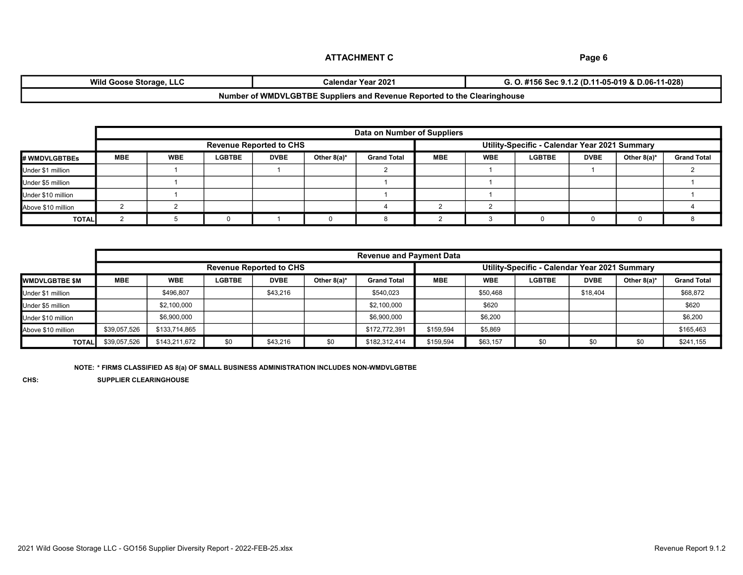| <b>Wild Goose Storage, LLC</b> | <b>Calendar Year 2021</b>                                                | 11-05-019 & D.06-11-028)<br>l.2 (D.11<br>$\sim$ 0 $\sim$<br>90<br>. |
|--------------------------------|--------------------------------------------------------------------------|---------------------------------------------------------------------|
|                                | Number of WMDVLGBTBE Suppliers and Revenue Reported to the Clearinghouse |                                                                     |

| Data on Number of Suppliers |                                                                                 |                                                                                                                                                                                        |  |  |  |  |  |  |  |  |  |  |
|-----------------------------|---------------------------------------------------------------------------------|----------------------------------------------------------------------------------------------------------------------------------------------------------------------------------------|--|--|--|--|--|--|--|--|--|--|
|                             | Utility-Specific - Calendar Year 2021 Summary<br><b>Revenue Reported to CHS</b> |                                                                                                                                                                                        |  |  |  |  |  |  |  |  |  |  |
| # WMDVLGBTBEs               | <b>MBE</b>                                                                      | <b>Grand Total</b><br><b>LGBTBE</b><br><b>DVBE</b><br><b>WBE</b><br>Other $8(a)^*$<br><b>WBE</b><br><b>DVBE</b><br>Other $8(a)^*$<br><b>Grand Total</b><br><b>MBE</b><br><b>LGBTBE</b> |  |  |  |  |  |  |  |  |  |  |
| Under \$1 million           |                                                                                 |                                                                                                                                                                                        |  |  |  |  |  |  |  |  |  |  |
| Under \$5 million           |                                                                                 |                                                                                                                                                                                        |  |  |  |  |  |  |  |  |  |  |
| Under \$10 million          |                                                                                 |                                                                                                                                                                                        |  |  |  |  |  |  |  |  |  |  |
| Above \$10 million          |                                                                                 |                                                                                                                                                                                        |  |  |  |  |  |  |  |  |  |  |
| <b>TOTAL</b>                |                                                                                 |                                                                                                                                                                                        |  |  |  |  |  |  |  |  |  |  |

|                         |                                | <b>Revenue and Payment Data</b> |               |             |                |                                               |            |            |               |             |             |                    |
|-------------------------|--------------------------------|---------------------------------|---------------|-------------|----------------|-----------------------------------------------|------------|------------|---------------|-------------|-------------|--------------------|
|                         | <b>Revenue Reported to CHS</b> |                                 |               |             |                | Utility-Specific - Calendar Year 2021 Summary |            |            |               |             |             |                    |
| <b>I</b> WMDVLGBTBE \$M | <b>MBE</b>                     | <b>WBE</b>                      | <b>LGBTBE</b> | <b>DVBE</b> | Other $8(a)^*$ | <b>Grand Total</b>                            | <b>MBE</b> | <b>WBE</b> | <b>LGBTBE</b> | <b>DVBE</b> | Other 8(a)* | <b>Grand Total</b> |
| Under \$1 million       |                                | \$496.807                       |               | \$43,216    |                | \$540,023                                     |            | \$50,468   |               | \$18,404    |             | \$68,872           |
| Under \$5 million       |                                | \$2,100,000                     |               |             |                | \$2,100,000                                   |            | \$620      |               |             |             | \$620              |
| Under \$10 million      |                                | \$6,900,000                     |               |             |                | \$6,900,000                                   |            | \$6,200    |               |             |             | \$6,200            |
| Above \$10 million      | \$39,057,526                   | \$133,714,865                   |               |             |                | \$172,772,391                                 | \$159,594  | \$5,869    |               |             |             | \$165,463          |
| <b>TOTAL</b>            | \$39,057,526                   | \$143,211,672                   | \$0           | \$43,216    | \$0            | \$182,312,414                                 | \$159,594  | \$63,157   | \$0           | \$0         | \$0         | \$241,155          |

NOTE: \* FIRMS CLASSIFIED AS 8(a) OF SMALL BUSINESS ADMINISTRATION INCLUDES NON-WMDVLGBTBE

CHS: SUPPLIER CLEARINGHOUSE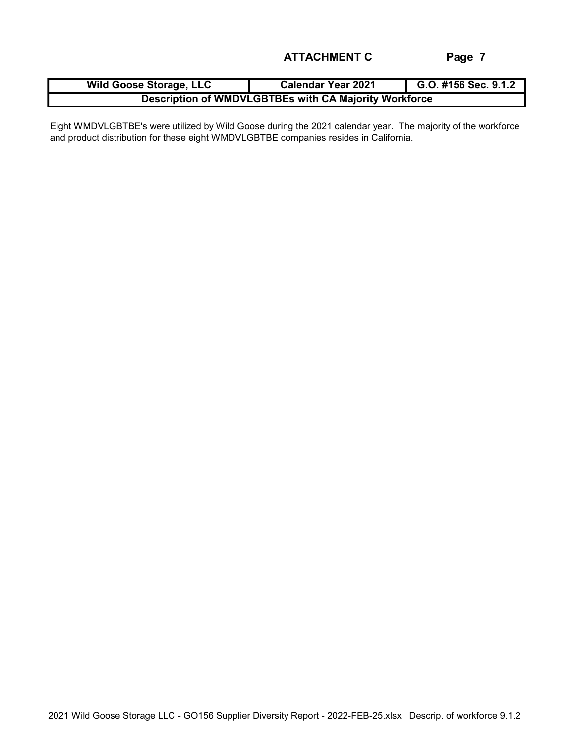| <b>Wild Goose Storage, LLC</b>                        | <b>Calendar Year 2021</b> | G.O. #156 Sec. 9.1.2 |  |  |  |
|-------------------------------------------------------|---------------------------|----------------------|--|--|--|
| Description of WMDVLGBTBEs with CA Majority Workforce |                           |                      |  |  |  |

Eight WMDVLGBTBE's were utilized by Wild Goose during the 2021 calendar year. The majority of the workforce and product distribution for these eight WMDVLGBTBE companies resides in California.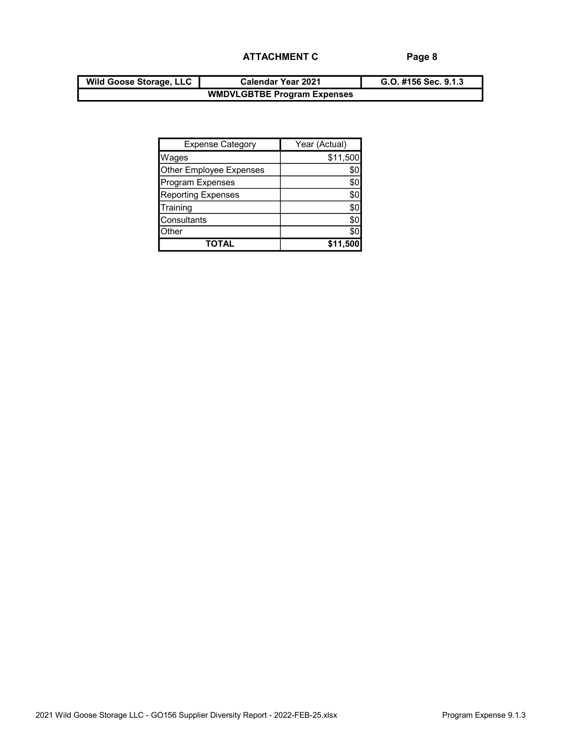| <b>Wild Goose Storage, LLC</b> | <b>Calendar Year 2021</b>          | G.O. #156 Sec. 9.1.3 |
|--------------------------------|------------------------------------|----------------------|
|                                | <b>WMDVLGBTBE Program Expenses</b> |                      |

| <b>Expense Category</b>   | Year (Actual) |
|---------------------------|---------------|
| <b>Wages</b>              | \$11,500      |
| Other Employee Expenses   |               |
| Program Expenses          | \$0           |
| <b>Reporting Expenses</b> | \$C           |
| Training                  | \$0           |
| Consultants               | \$0           |
| <b>Other</b>              |               |
| ΤΟΤΑΙ                     |               |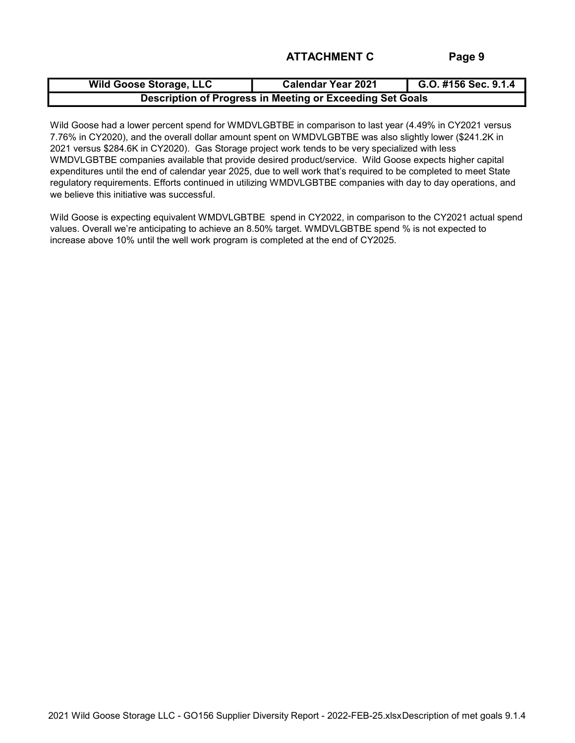| <b>Wild Goose Storage, LLC</b>                            | <b>Calendar Year 2021</b> | G.O. #156 Sec. 9.1.4 |  |  |  |  |
|-----------------------------------------------------------|---------------------------|----------------------|--|--|--|--|
| Description of Progress in Meeting or Exceeding Set Goals |                           |                      |  |  |  |  |

Wild Goose had a lower percent spend for WMDVLGBTBE in comparison to last year (4.49% in CY2021 versus 7.76% in CY2020), and the overall dollar amount spent on WMDVLGBTBE was also slightly lower (\$241.2K in 2021 versus \$284.6K in CY2020). Gas Storage project work tends to be very specialized with less WMDVLGBTBE companies available that provide desired product/service. Wild Goose expects higher capital expenditures until the end of calendar year 2025, due to well work that's required to be completed to meet State regulatory requirements. Efforts continued in utilizing WMDVLGBTBE companies with day to day operations, and we believe this initiative was successful.

Wild Goose is expecting equivalent WMDVLGBTBE spend in CY2022, in comparison to the CY2021 actual spend values. Overall we're anticipating to achieve an 8.50% target. WMDVLGBTBE spend % is not expected to increase above 10% until the well work program is completed at the end of CY2025.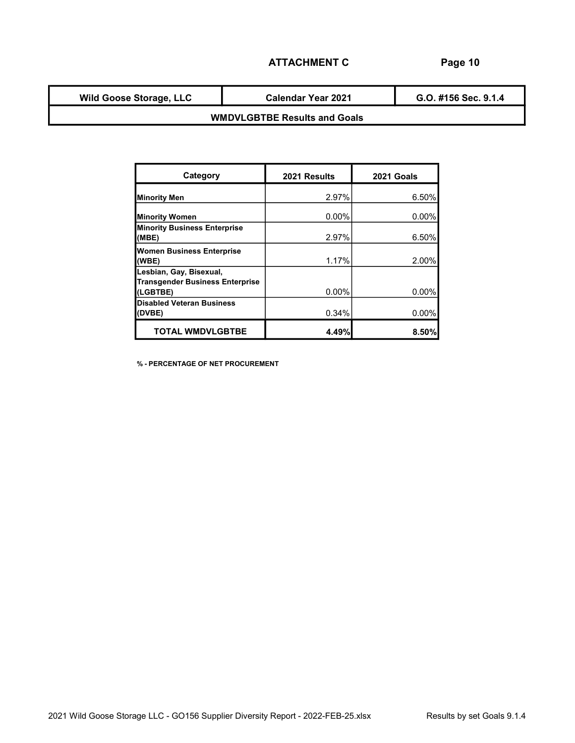Wild Goose Storage, LLC

Calendar Year 2021

G.O. #156 Sec. 9.1.4

## WMDVLGBTBE Results and Goals

| Category                                                                      | 2021 Results | 2021 Goals |
|-------------------------------------------------------------------------------|--------------|------------|
| <b>Minority Men</b>                                                           | 2.97%        | 6.50%      |
| <b>Minority Women</b>                                                         | 0.00%        | $0.00\%$   |
| <b>Minority Business Enterprise</b><br>(MBE)                                  | 2.97%        | 6.50%      |
| <b>Women Business Enterprise</b><br>(WBE)                                     | 1.17%        | 2.00%      |
| Lesbian, Gay, Bisexual,<br><b>Transgender Business Enterprise</b><br>(LGBTBE) | 0.00%        | 0.00%      |
| <b>Disabled Veteran Business</b><br>(DVBE)                                    | 0.34%        | $0.00\%$   |
| <b>TOTAL WMDVLGBTBE</b>                                                       | 4.49%        | 8.50%      |

% - PERCENTAGE OF NET PROCUREMENT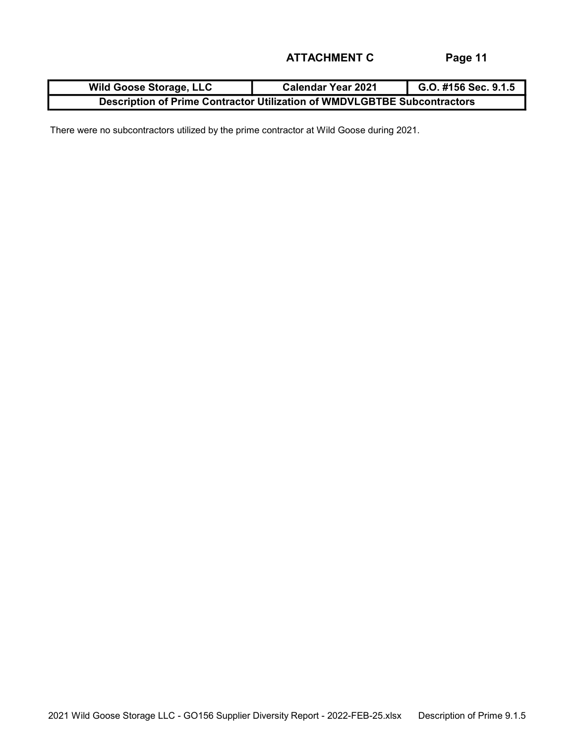| <b>Wild Goose Storage, LLC</b>                                           | <b>Calendar Year 2021</b> | G.O. #156 Sec. 9.1.5 |  |  |  |  |
|--------------------------------------------------------------------------|---------------------------|----------------------|--|--|--|--|
| Description of Prime Contractor Utilization of WMDVLGBTBE Subcontractors |                           |                      |  |  |  |  |

There were no subcontractors utilized by the prime contractor at Wild Goose during 2021.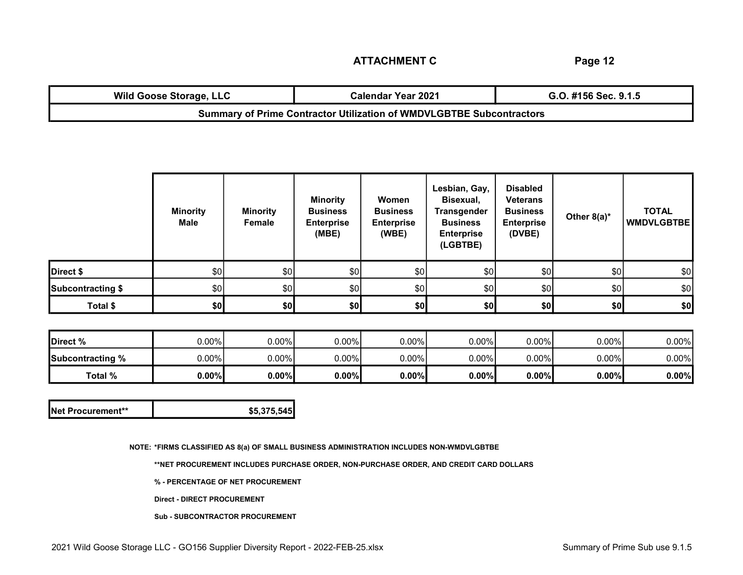| <b>Wild Goose Storage, LLC</b>                                              | <b>Calendar Year 2021</b> | G.O. #156 Sec. 9.1.5 |  |  |  |
|-----------------------------------------------------------------------------|---------------------------|----------------------|--|--|--|
| <b>Summary of Prime Contractor Utilization of WMDVLGBTBE Subcontractors</b> |                           |                      |  |  |  |

|                   | <b>Minority</b><br>Male | <b>Minority</b><br>Female | <b>Minority</b><br><b>Business</b><br><b>Enterprise</b><br>(MBE) | Women<br><b>Business</b><br><b>Enterprise</b><br>(WBE) | Lesbian, Gay,<br>Bisexual,<br><b>Transgender</b><br><b>Business</b><br><b>Enterprise</b><br>(LGBTBE) | <b>Disabled</b><br><b>Veterans</b><br><b>Business</b><br><b>Enterprise</b><br>(DVBE) | Other $8(a)^*$ | <b>TOTAL</b><br><b>WMDVLGBTBE</b> |
|-------------------|-------------------------|---------------------------|------------------------------------------------------------------|--------------------------------------------------------|------------------------------------------------------------------------------------------------------|--------------------------------------------------------------------------------------|----------------|-----------------------------------|
| Direct \$         | \$0                     | \$0]                      | \$0                                                              | \$0                                                    | \$0                                                                                                  | \$0                                                                                  | \$0            | \$0                               |
| Subcontracting \$ | \$0                     | \$0                       | \$0                                                              | \$0]                                                   | \$0                                                                                                  | \$0                                                                                  | \$0            | \$0                               |
| Total \$          | \$0                     | \$0                       | \$0]                                                             | \$0]                                                   | \$0                                                                                                  | \$0]                                                                                 | \$0]           | \$0                               |

| Direct %         | $0.00\%$ | 0.00%    | $0.00\%$ | 0.00%    | $0.00\%$ | $0.00\%$ | $0.00\%$ | 0.00%    |
|------------------|----------|----------|----------|----------|----------|----------|----------|----------|
| Subcontracting % | $0.00\%$ | $0.00\%$ | $0.00\%$ | 0.00%    | $0.00\%$ | $0.00\%$ | $0.00\%$ | $0.00\%$ |
| Total %          | 0.00%    | 0.00%    | 0.00%    | $0.00\%$ | $0.00\%$ | $0.00\%$ | $0.00\%$ | 0.00%    |

| <b>INet Procurement**</b><br>\$5.375.545 |
|------------------------------------------|
|------------------------------------------|

NOTE: \*FIRMS CLASSIFIED AS 8(a) OF SMALL BUSINESS ADMINISTRATION INCLUDES NON-WMDVLGBTBE

\*\*NET PROCUREMENT INCLUDES PURCHASE ORDER, NON-PURCHASE ORDER, AND CREDIT CARD DOLLARS

% - PERCENTAGE OF NET PROCUREMENT

Direct - DIRECT PROCUREMENT

Sub - SUBCONTRACTOR PROCUREMENT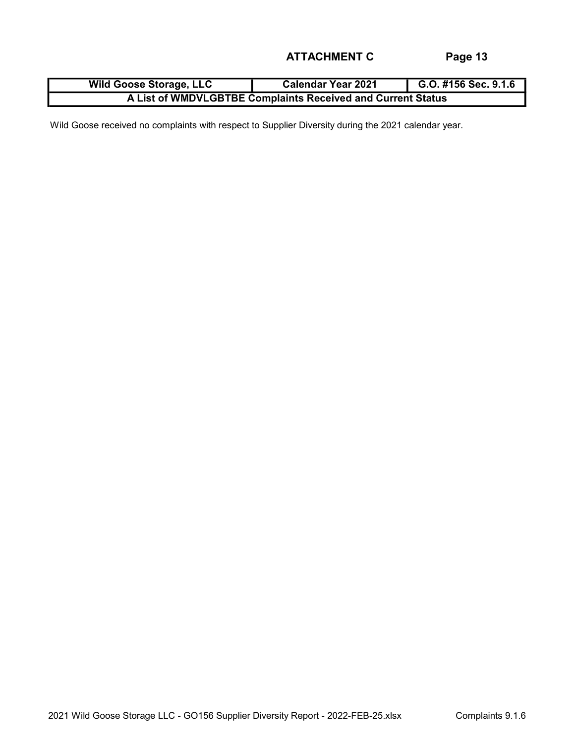| <b>Wild Goose Storage, LLC</b>                              | <b>Calendar Year 2021</b> | G.O. #156 Sec. 9.1.6 |  |  |  |  |
|-------------------------------------------------------------|---------------------------|----------------------|--|--|--|--|
| A List of WMDVLGBTBE Complaints Received and Current Status |                           |                      |  |  |  |  |

Wild Goose received no complaints with respect to Supplier Diversity during the 2021 calendar year.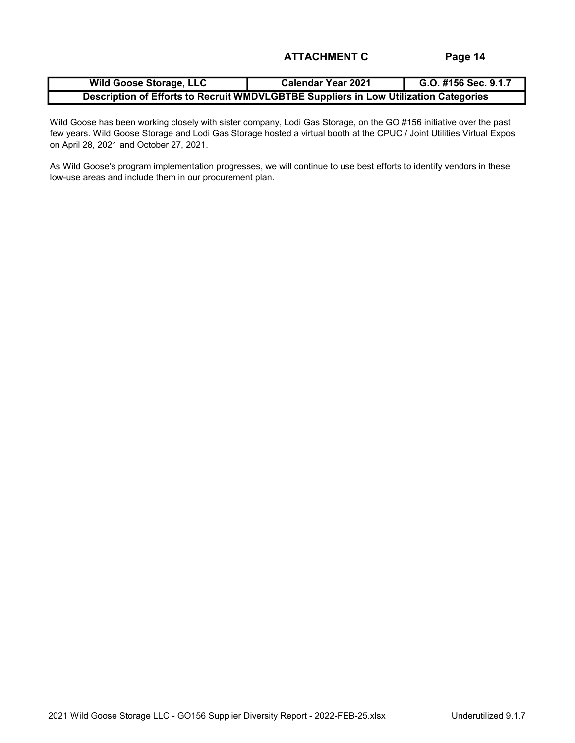| <b>Wild Goose Storage, LLC</b>                                                       | <b>Calendar Year 2021</b> | G.O. #156 Sec. 9.1.7 |  |  |  |  |  |
|--------------------------------------------------------------------------------------|---------------------------|----------------------|--|--|--|--|--|
| Description of Efforts to Recruit WMDVLGBTBE Suppliers in Low Utilization Categories |                           |                      |  |  |  |  |  |

Wild Goose has been working closely with sister company, Lodi Gas Storage, on the GO #156 initiative over the past few years. Wild Goose Storage and Lodi Gas Storage hosted a virtual booth at the CPUC / Joint Utilities Virtual Expos on April 28, 2021 and October 27, 2021.

As Wild Goose's program implementation progresses, we will continue to use best efforts to identify vendors in these low-use areas and include them in our procurement plan.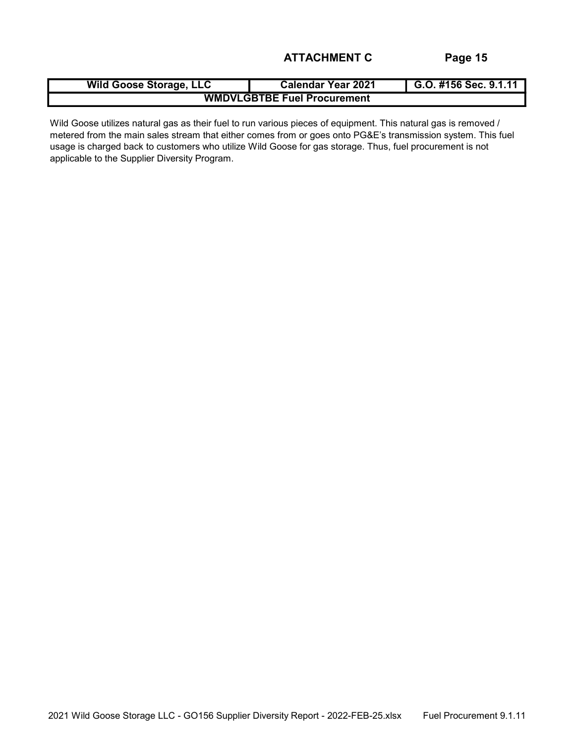| <b>Wild Goose Storage, LLC</b>     | <b>Calendar Year 2021</b> | G.O. #156 Sec. 9.1.11 |  |  |  |  |  |
|------------------------------------|---------------------------|-----------------------|--|--|--|--|--|
| <b>WMDVLGBTBE Fuel Procurement</b> |                           |                       |  |  |  |  |  |

Wild Goose utilizes natural gas as their fuel to run various pieces of equipment. This natural gas is removed / metered from the main sales stream that either comes from or goes onto PG&E's transmission system. This fuel usage is charged back to customers who utilize Wild Goose for gas storage. Thus, fuel procurement is not applicable to the Supplier Diversity Program.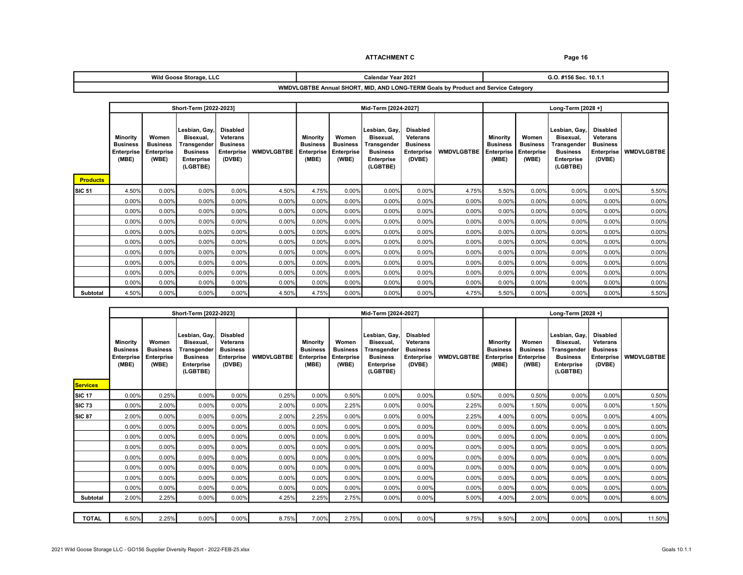#### ATTACHMENT C<br>
Page 16

| <b>Wild Goose</b><br>. .<br>. Storage.<br>. | r Year 2021<br>Calendar | ົ<br>. 10.1.1<br>ີິ<br>v.v. |
|---------------------------------------------|-------------------------|-----------------------------|
|                                             | ___                     | $ -$                        |

#### WMDVLGBTBE Annual SHORT, MID, AND LONG-TERM Goals by Product and Service Category

|                 | Short-Term [2022-2023]                                           |                                                 |                                                                                               |                                                                               |                   | Mid-Term [2024-2027]                               |                                                 |                                                                                        |                                                                               | Long-Term [2028 +] |                                                    |                                                 |                                                                                               |                                                                                      |                   |
|-----------------|------------------------------------------------------------------|-------------------------------------------------|-----------------------------------------------------------------------------------------------|-------------------------------------------------------------------------------|-------------------|----------------------------------------------------|-------------------------------------------------|----------------------------------------------------------------------------------------|-------------------------------------------------------------------------------|--------------------|----------------------------------------------------|-------------------------------------------------|-----------------------------------------------------------------------------------------------|--------------------------------------------------------------------------------------|-------------------|
| <b>Products</b> | <b>Minority</b><br><b>Business</b><br><b>Enterprise</b><br>(MBE) | Women<br><b>Business</b><br>Enterprise<br>(WBE) | Lesbian, Gay,<br>Bisexual,<br>Transgender<br><b>Business</b><br><b>Enterprise</b><br>(LGBTBE) | <b>Disabled</b><br><b>Veterans</b><br><b>Business</b><br>Enterprise<br>(DVBE) | <b>WMDVLGBTBE</b> | Minority<br><b>Business</b><br>Enterprise<br>(MBE) | Women<br><b>Business</b><br>Enterprise<br>(WBE) | Lesbian. Gav.<br>Bisexual,<br>Transgender<br><b>Business</b><br>Enterprise<br>(LGBTBE) | <b>Disabled</b><br><b>Veterans</b><br><b>Business</b><br>Enterprise<br>(DVBE) | <b>WMDVLGBTBE</b>  | Minority<br><b>Business</b><br>Enterprise<br>(MBE) | Women<br><b>Business</b><br>Enterprise<br>(WBE) | Lesbian, Gav.<br>Bisexual,<br>Transɑender<br><b>Business</b><br><b>Enterprise</b><br>(LGBTBE) | <b>Disabled</b><br><b>Veterans</b><br><b>Business</b><br><b>Enterprise</b><br>(DVBE) | <b>WMDVLGBTBE</b> |
| SIC 51          | 4.50%                                                            | 0.00%                                           | 0.00%                                                                                         | 0.00%                                                                         | 4.50%             | 4.75%                                              | 0.00%                                           | 0.00%                                                                                  | 0.00%                                                                         | 4.75%              | 5.50%                                              | 0.00%                                           | 0.00%                                                                                         | 0.00%                                                                                | 5.50%             |
|                 | 0.00%                                                            | 0.00%                                           | 0.00%                                                                                         | 0.00%                                                                         | 0.00%             | 0.00%                                              | 0.00%                                           | 0.00%                                                                                  | 0.00%                                                                         | 0.00%              | 0.00%                                              | 0.00%                                           | 0.00%                                                                                         | 0.00%                                                                                | 0.00%             |
|                 | 0.00%                                                            | 0.00%                                           | 0.00%                                                                                         | 0.00%                                                                         | 0.00%             | 0.00%                                              | 0.00%                                           | 0.00%                                                                                  | 0.00%                                                                         | 0.00%              | 0.00%                                              | 0.00%                                           | 0.00%                                                                                         | 0.00%                                                                                | 0.00%             |
|                 | 0.00%                                                            | 0.00%                                           | 0.00%                                                                                         | 0.00%                                                                         | 0.00%             | 0.00%                                              | 0.00%                                           | 0.00%                                                                                  | 0.00%                                                                         | 0.00%              | 0.00%                                              | 0.00%                                           | 0.00%                                                                                         | 0.00%                                                                                | 0.00%             |
|                 | 0.00%                                                            | 0.00%                                           | 0.00%                                                                                         | 0.00%                                                                         | 0.00%             | 0.00%                                              | 0.00%                                           | 0.00%                                                                                  | 0.00%                                                                         | 0.00%              | 0.00%                                              | 0.00%                                           | 0.00%                                                                                         | 0.00%                                                                                | 0.00%             |
|                 | 0.00%                                                            | 0.00%                                           | 0.00%                                                                                         | 0.00%                                                                         | 0.00%             | 0.00%                                              | 0.00%                                           | 0.00%                                                                                  | 0.00%                                                                         | 0.00%              | 0.00%                                              | 0.00%                                           | 0.00%                                                                                         | 0.00%                                                                                | 0.00%             |
|                 | 0.00%                                                            | 0.00%                                           | 0.00%                                                                                         | 0.00%                                                                         | 0.00%             | 0.00%                                              | 0.00%                                           | 0.00%                                                                                  | 0.00%                                                                         | 0.00%              | 0.00%                                              | 0.00%                                           | 0.00%                                                                                         | 0.00%                                                                                | 0.00%             |
|                 | 0.00%                                                            | 0.00%                                           | 0.00%                                                                                         | 0.00%                                                                         | 0.00%             | 0.00%                                              | 0.00%                                           | 0.00%                                                                                  | 0.00%                                                                         | 0.00%              | 0.00%                                              | 0.00%                                           | 0.00%                                                                                         | 0.00%                                                                                | 0.00%             |
|                 | 0.00%                                                            | 0.00%                                           | 0.00%                                                                                         | 0.00%                                                                         | 0.00%             | 0.00%                                              | 0.00%                                           | 0.00%                                                                                  | 0.00%                                                                         | 0.00%              | 0.00%                                              | 0.00%                                           | 0.00%                                                                                         | 0.00%                                                                                | 0.00%             |
|                 | 0.00%                                                            | 0.00%                                           | 0.00%                                                                                         | 0.00%                                                                         | 0.00%             | 0.00%                                              | 0.00%                                           | 0.00%                                                                                  | 0.00%                                                                         | 0.00%              | 0.00%                                              | 0.00%                                           | 0.00%                                                                                         | 0.00%                                                                                | 0.00%             |
| Subtotal        | 4.50%                                                            | 0.00%                                           | 0.00%                                                                                         | 0.00%                                                                         | 4.50%             | 4.75%                                              | 0.00%                                           | 0.00%                                                                                  | 0.00%                                                                         | 4.75%              | 5.50%                                              | 0.00%                                           | 0.00%                                                                                         | 0.00%                                                                                | 5.50%             |

|                                  | Short-Term [2022-2023]                                    |                                                        |                                                                                               |                                                                               |                   | Mid-Term [2024-2027]                                      |                                                 |                                                                                        |                                                                                      | Long-Term [2028 +] |                                                           |                                                 |                                                                                               |                                                                        |                   |
|----------------------------------|-----------------------------------------------------------|--------------------------------------------------------|-----------------------------------------------------------------------------------------------|-------------------------------------------------------------------------------|-------------------|-----------------------------------------------------------|-------------------------------------------------|----------------------------------------------------------------------------------------|--------------------------------------------------------------------------------------|--------------------|-----------------------------------------------------------|-------------------------------------------------|-----------------------------------------------------------------------------------------------|------------------------------------------------------------------------|-------------------|
|                                  | Minority<br><b>Business</b><br><b>Enterprise</b><br>(MBE) | Women<br><b>Business</b><br><b>Enterprise</b><br>(WBE) | Lesbian, Gay,<br>Bisexual,<br>Transgender<br><b>Business</b><br><b>Enterprise</b><br>(LGBTBE) | <b>Disabled</b><br>Veterans<br><b>Business</b><br><b>Enterprise</b><br>(DVBE) | <b>WMDVLGBTBE</b> | Minority<br><b>Business</b><br><b>Enterprise</b><br>(MBE) | Women<br><b>Business</b><br>Enterprise<br>(WBE) | Lesbian, Gay,<br>Bisexual,<br>Transgender<br><b>Business</b><br>Enterprise<br>(LGBTBE) | <b>Disabled</b><br><b>Veterans</b><br><b>Business</b><br><b>Enterprise</b><br>(DVBE) | <b>WMDVLGBTBE</b>  | Minority<br><b>Business</b><br><b>Enterprise</b><br>(MBE) | Women<br><b>Business</b><br>Enterprise<br>(WBE) | Lesbian, Gay,<br>Bisexual.<br>Transgender<br><b>Business</b><br><b>Enterprise</b><br>(LGBTBE) | <b>Disabled</b><br>Veterans<br><b>Business</b><br>Enterprise<br>(DVBE) | <b>WMDVLGBTBE</b> |
| <b>Services</b><br><b>SIC 17</b> | 0.00%                                                     | 0.25%                                                  | 0.00%                                                                                         | 0.00%                                                                         | 0.25%             | $0.00\%$                                                  | 0.50%                                           | 0.00%                                                                                  | 0.00%                                                                                | 0.50%              | 0.00%                                                     | 0.50%                                           | 0.00%                                                                                         | 0.00%                                                                  | 0.50%             |
| <b>SIC 73</b>                    | 0.00%                                                     | 2.00%                                                  | 0.00%                                                                                         | 0.00%                                                                         | 2.00%             | 0.00%                                                     | 2.25%                                           | 0.00%                                                                                  | 0.00%                                                                                | 2.25%              | 0.00%                                                     | 1.50%                                           | 0.00%                                                                                         | 0.00%                                                                  | 1.50%             |
| <b>SIC 87</b>                    | 2.00%                                                     | 0.00%                                                  | 0.00%                                                                                         | 0.00%                                                                         | 2.00%             | 2.25%                                                     | 0.00%                                           | 0.00%                                                                                  | 0.00%                                                                                | 2.25%              | 4.00%                                                     | 0.00%                                           | 0.00%                                                                                         | 0.00%                                                                  | 4.00%             |
|                                  | 0.00%                                                     | 0.00%                                                  | 0.00%                                                                                         | 0.00%                                                                         | 0.00%             | 0.00%                                                     | 0.00%                                           | 0.00%                                                                                  | 0.00%                                                                                | 0.00%              | 0.00%                                                     | 0.00%                                           | 0.00%                                                                                         | 0.00%                                                                  | 0.00%             |
|                                  | 0.00%                                                     | 0.00%                                                  | 0.00%                                                                                         | 0.00%                                                                         | 0.00%             | 0.00%                                                     | 0.00%                                           | 0.00%                                                                                  | 0.00%                                                                                | 0.00%              | 0.00%                                                     | 0.00%                                           | 0.00%                                                                                         | 0.00%                                                                  | 0.00%             |
|                                  | 0.00%                                                     | 0.00%                                                  | 0.00%                                                                                         | 0.00%                                                                         | 0.00%             | 0.00%                                                     | 0.00%                                           | 0.00%                                                                                  | 0.00%                                                                                | 0.00%              | 0.00%                                                     | 0.00%                                           | 0.00%                                                                                         | 0.00%                                                                  | 0.00%             |
|                                  | 0.00%                                                     | 0.00%                                                  | 0.00%                                                                                         | 0.00%                                                                         | 0.00%             | 0.00%                                                     | 0.00%                                           | 0.00%                                                                                  | 0.00%                                                                                | 0.00%              | 0.00%                                                     | 0.00%                                           | 0.00%                                                                                         | 0.00%                                                                  | 0.00%             |
|                                  | 0.00%                                                     | 0.00%                                                  | 0.00%                                                                                         | 0.00%                                                                         | 0.00%             | 0.00%                                                     | 0.00%                                           | 0.00%                                                                                  | 0.00%                                                                                | 0.00%              | 0.00%                                                     | 0.00%                                           | 0.00%                                                                                         | 0.00%                                                                  | 0.00%             |
|                                  | 0.00%                                                     | 0.00%                                                  | 0.00%                                                                                         | 0.00%                                                                         | 0.00%             | 0.00%                                                     | 0.00%                                           | 0.00%                                                                                  | 0.00%                                                                                | 0.00%              | 0.00%                                                     | 0.00%                                           | 0.00%                                                                                         | 0.00%                                                                  | 0.00%             |
|                                  | 0.00%                                                     | 0.00%                                                  | 0.00%                                                                                         | 0.00%                                                                         | 0.00%             | 0.00%                                                     | 0.00%                                           | 0.00%                                                                                  | 0.00%                                                                                | 0.00%              | 0.00%                                                     | 0.00%                                           | 0.00%                                                                                         | 0.00%                                                                  | 0.00%             |
| Subtotal                         | 2.00%                                                     | 2.25%                                                  | 0.00%                                                                                         | 0.00%                                                                         | 4.25%             | 2.25%                                                     | 2.75%                                           | 0.00%                                                                                  | 0.00%                                                                                | 5.00%              | 4.00%                                                     | 2.00%                                           | 0.00%                                                                                         | 0.00%                                                                  | 6.00%             |
|                                  |                                                           |                                                        |                                                                                               |                                                                               |                   |                                                           |                                                 |                                                                                        |                                                                                      |                    |                                                           |                                                 |                                                                                               |                                                                        |                   |
| <b>TOTAL</b>                     | 6.50%                                                     | 2.25%                                                  | 0.00%                                                                                         | 0.00%                                                                         | 8.75%             | 7.00%                                                     | 2.75%                                           | 0.00%                                                                                  | 0.00%                                                                                | 9.75%              | 9.50%                                                     | 2.00%                                           | 0.00%                                                                                         | 0.00%                                                                  | 11.50%            |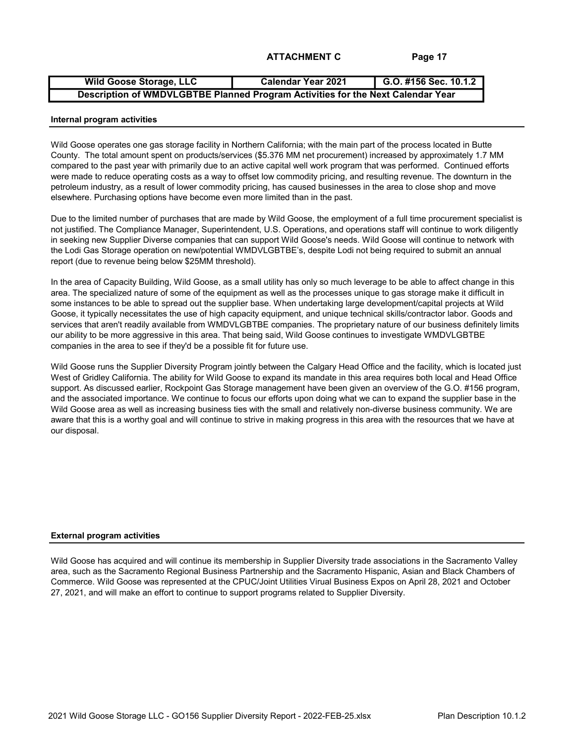| <b>Wild Goose Storage, LLC</b>                                                  | Calendar Year 2021 | G.O. #156 Sec. 10.1.2 |  |  |  |  |
|---------------------------------------------------------------------------------|--------------------|-----------------------|--|--|--|--|
| Description of WMDVLGBTBE Planned Program Activities for the Next Calendar Year |                    |                       |  |  |  |  |

#### Internal program activities

Wild Goose operates one gas storage facility in Northern California; with the main part of the process located in Butte County. The total amount spent on products/services (\$5.376 MM net procurement) increased by approximately 1.7 MM compared to the past year with primarily due to an active capital well work program that was performed. Continued efforts were made to reduce operating costs as a way to offset low commodity pricing, and resulting revenue. The downturn in the petroleum industry, as a result of lower commodity pricing, has caused businesses in the area to close shop and move elsewhere. Purchasing options have become even more limited than in the past.

Due to the limited number of purchases that are made by Wild Goose, the employment of a full time procurement specialist is not justified. The Compliance Manager, Superintendent, U.S. Operations, and operations staff will continue to work diligently in seeking new Supplier Diverse companies that can support Wild Goose's needs. Wild Goose will continue to network with the Lodi Gas Storage operation on new/potential WMDVLGBTBE's, despite Lodi not being required to submit an annual report (due to revenue being below \$25MM threshold).

In the area of Capacity Building, Wild Goose, as a small utility has only so much leverage to be able to affect change in this area. The specialized nature of some of the equipment as well as the processes unique to gas storage make it difficult in some instances to be able to spread out the supplier base. When undertaking large development/capital projects at Wild Goose, it typically necessitates the use of high capacity equipment, and unique technical skills/contractor labor. Goods and services that aren't readily available from WMDVLGBTBE companies. The proprietary nature of our business definitely limits our ability to be more aggressive in this area. That being said, Wild Goose continues to investigate WMDVLGBTBE companies in the area to see if they'd be a possible fit for future use.

Wild Goose runs the Supplier Diversity Program jointly between the Calgary Head Office and the facility, which is located just West of Gridley California. The ability for Wild Goose to expand its mandate in this area requires both local and Head Office support. As discussed earlier, Rockpoint Gas Storage management have been given an overview of the G.O. #156 program, and the associated importance. We continue to focus our efforts upon doing what we can to expand the supplier base in the Wild Goose area as well as increasing business ties with the small and relatively non-diverse business community. We are aware that this is a worthy goal and will continue to strive in making progress in this area with the resources that we have at our disposal.

#### External program activities

Wild Goose has acquired and will continue its membership in Supplier Diversity trade associations in the Sacramento Valley area, such as the Sacramento Regional Business Partnership and the Sacramento Hispanic, Asian and Black Chambers of Commerce. Wild Goose was represented at the CPUC/Joint Utilities Virual Business Expos on April 28, 2021 and October 27, 2021, and will make an effort to continue to support programs related to Supplier Diversity.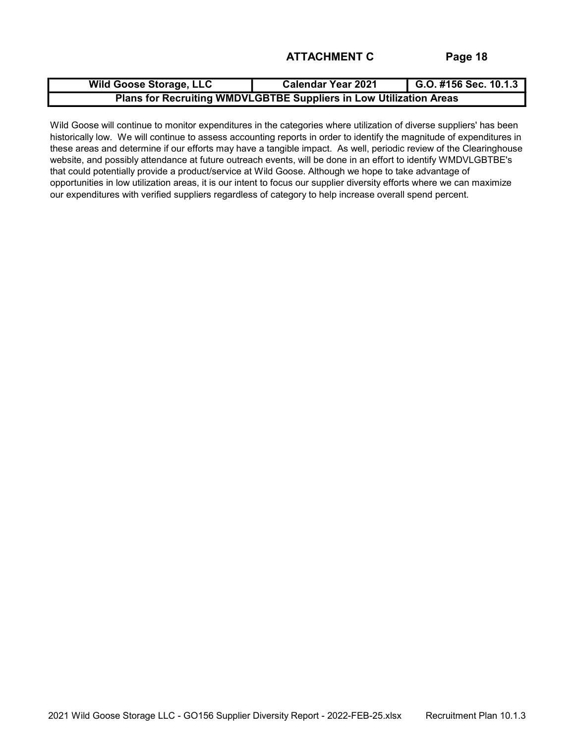| <b>Wild Goose Storage, LLC</b>                                     | <b>Calendar Year 2021</b> | $\bigcup$ G.O. #156 Sec. 10.1.3 |  |  |  |  |  |
|--------------------------------------------------------------------|---------------------------|---------------------------------|--|--|--|--|--|
| Plans for Recruiting WMDVLGBTBE Suppliers in Low Utilization Areas |                           |                                 |  |  |  |  |  |

Wild Goose will continue to monitor expenditures in the categories where utilization of diverse suppliers' has been historically low. We will continue to assess accounting reports in order to identify the magnitude of expenditures in these areas and determine if our efforts may have a tangible impact. As well, periodic review of the Clearinghouse website, and possibly attendance at future outreach events, will be done in an effort to identify WMDVLGBTBE's that could potentially provide a product/service at Wild Goose. Although we hope to take advantage of opportunities in low utilization areas, it is our intent to focus our supplier diversity efforts where we can maximize our expenditures with verified suppliers regardless of category to help increase overall spend percent.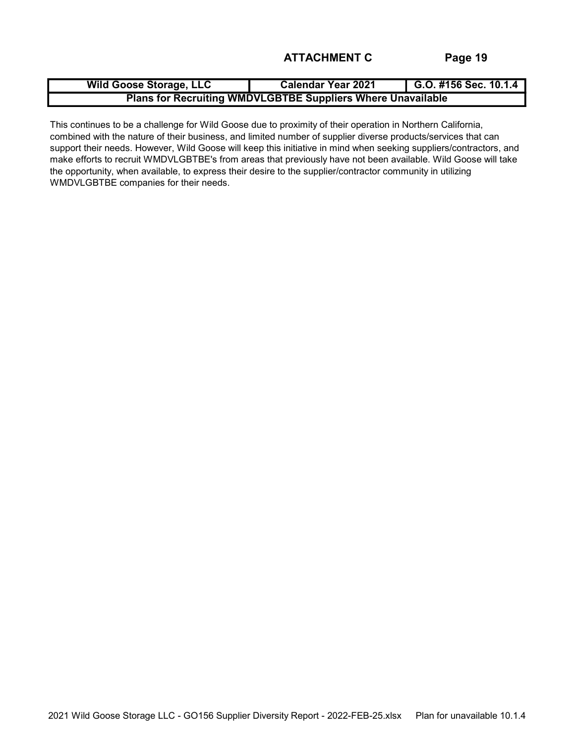| <b>Wild Goose Storage, LLC</b>                                     | <b>Calendar Year 2021</b> | G.O. #156 Sec. 10.1.4 |  |  |  |  |  |
|--------------------------------------------------------------------|---------------------------|-----------------------|--|--|--|--|--|
| <b>Plans for Recruiting WMDVLGBTBE Suppliers Where Unavailable</b> |                           |                       |  |  |  |  |  |

This continues to be a challenge for Wild Goose due to proximity of their operation in Northern California, combined with the nature of their business, and limited number of supplier diverse products/services that can support their needs. However, Wild Goose will keep this initiative in mind when seeking suppliers/contractors, and make efforts to recruit WMDVLGBTBE's from areas that previously have not been available. Wild Goose will take the opportunity, when available, to express their desire to the supplier/contractor community in utilizing WMDVLGBTBE companies for their needs.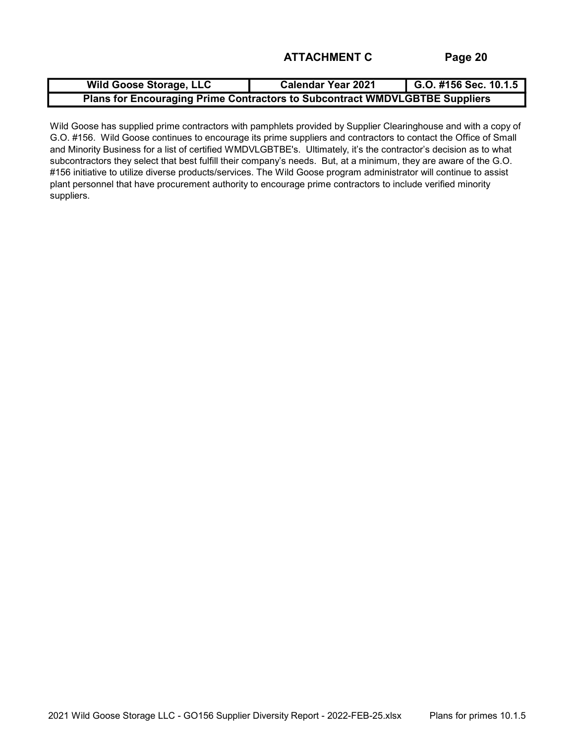| <b>Wild Goose Storage, LLC</b>                                              | <b>Calendar Year 2021</b> | $G.0.$ #156 Sec. 10.1.5 |  |  |  |  |  |
|-----------------------------------------------------------------------------|---------------------------|-------------------------|--|--|--|--|--|
| Plans for Encouraging Prime Contractors to Subcontract WMDVLGBTBE Suppliers |                           |                         |  |  |  |  |  |

Wild Goose has supplied prime contractors with pamphlets provided by Supplier Clearinghouse and with a copy of G.O. #156. Wild Goose continues to encourage its prime suppliers and contractors to contact the Office of Small and Minority Business for a list of certified WMDVLGBTBE's. Ultimately, it's the contractor's decision as to what subcontractors they select that best fulfill their company's needs. But, at a minimum, they are aware of the G.O. #156 initiative to utilize diverse products/services. The Wild Goose program administrator will continue to assist plant personnel that have procurement authority to encourage prime contractors to include verified minority suppliers.